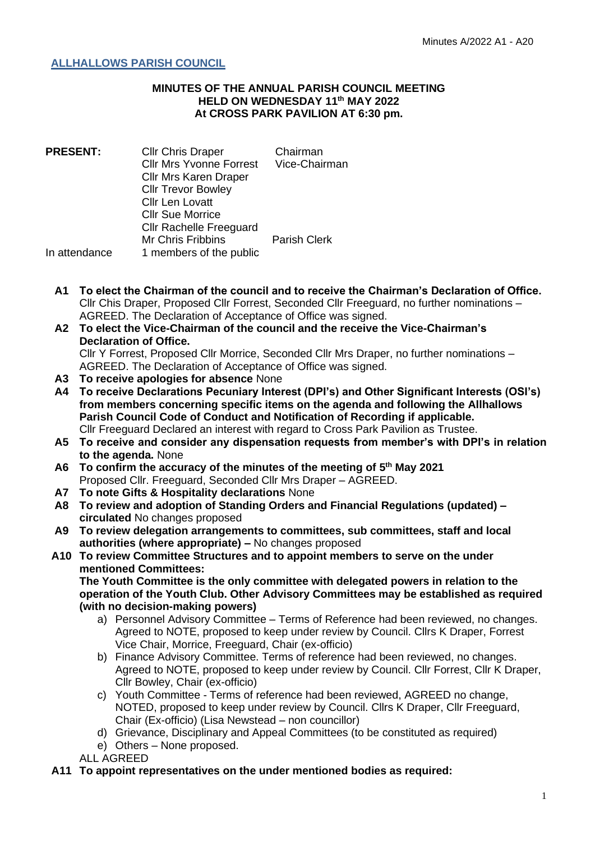## **ALLHALLOWS PARISH COUNCIL**

## **MINUTES OF THE ANNUAL PARISH COUNCIL MEETING HELD ON WEDNESDAY 11th MAY 2022 At CROSS PARK PAVILION AT 6:30 pm.**

**PRESENT:** Cllr Chris Draper Chairman Cllr Mrs Yvonne Forrest Vice-Chairman Cllr Mrs Karen Draper Cllr Trevor Bowley Cllr Len Lovatt Cllr Sue Morrice Cllr Rachelle Freeguard Mr Chris Fribbins Parish Clerk In attendance 1 members of the public

- **A1 To elect the Chairman of the council and to receive the Chairman's Declaration of Office.** Cllr Chis Draper, Proposed Cllr Forrest, Seconded Cllr Freeguard, no further nominations – AGREED. The Declaration of Acceptance of Office was signed.
- **A2 To elect the Vice-Chairman of the council and the receive the Vice-Chairman's Declaration of Office.** Cllr Y Forrest, Proposed Cllr Morrice, Seconded Cllr Mrs Draper, no further nominations –
	- AGREED. The Declaration of Acceptance of Office was signed.
- **A3 To receive apologies for absence** None
- **A4 To receive Declarations Pecuniary Interest (DPI's) and Other Significant Interests (OSI's) from members concerning specific items on the agenda and following the Allhallows Parish Council Code of Conduct and Notification of Recording if applicable.** Cllr Freeguard Declared an interest with regard to Cross Park Pavilion as Trustee.
- **A5 To receive and consider any dispensation requests from member's with DPI's in relation to the agenda.** None
- **A6 To confirm the accuracy of the minutes of the meeting of 5 th May 2021** Proposed Cllr. Freeguard, Seconded Cllr Mrs Draper – AGREED.
- **A7 To note Gifts & Hospitality declarations** None
- **A8 To review and adoption of Standing Orders and Financial Regulations (updated) – circulated** No changes proposed
- **A9 To review delegation arrangements to committees, sub committees, staff and local authorities (where appropriate) –** No changes proposed
- **A10 To review Committee Structures and to appoint members to serve on the under mentioned Committees:**

**The Youth Committee is the only committee with delegated powers in relation to the operation of the Youth Club. Other Advisory Committees may be established as required (with no decision-making powers)**

- a) Personnel Advisory Committee Terms of Reference had been reviewed, no changes. Agreed to NOTE, proposed to keep under review by Council. Cllrs K Draper, Forrest Vice Chair, Morrice, Freeguard, Chair (ex-officio)
- b) Finance Advisory Committee. Terms of reference had been reviewed, no changes. Agreed to NOTE, proposed to keep under review by Council. Cllr Forrest, Cllr K Draper, Cllr Bowley, Chair (ex-officio)
- c) Youth Committee Terms of reference had been reviewed, AGREED no change, NOTED, proposed to keep under review by Council. Cllrs K Draper, Cllr Freeguard, Chair (Ex-officio) (Lisa Newstead – non councillor)
- d) Grievance, Disciplinary and Appeal Committees (to be constituted as required)
- e) Others None proposed.

ALL AGREED

**A11 To appoint representatives on the under mentioned bodies as required:**